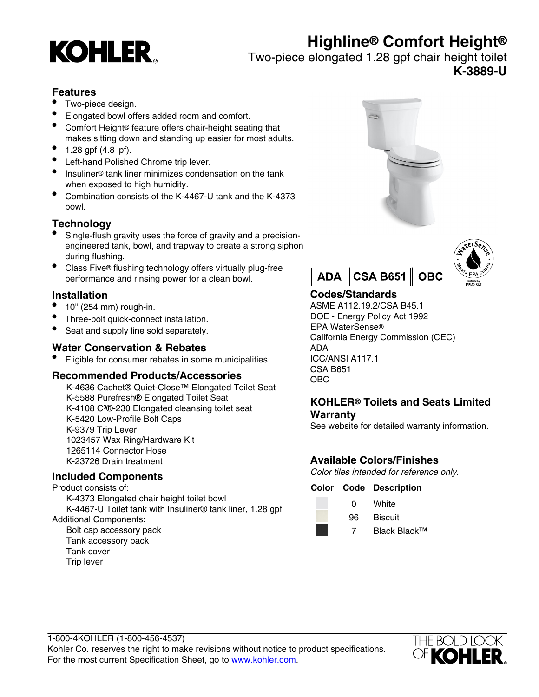# **Highline® Comfort Height®**



Two-piece elongated 1.28 gpf chair height toilet **K-3889-U**

### **Features**

- Two-piece design.
- Elongated bowl offers added room and comfort.
- Comfort Height® feature offers chair-height seating that makes sitting down and standing up easier for most adults.
- $1.28$  gpf (4.8 lpf).
- Left-hand Polished Chrome trip lever.
- Insuliner® tank liner minimizes condensation on the tank when exposed to high humidity.
- Combination consists of the K-4467-U tank and the K-4373 bowl.

## **Technology**

- Single-flush gravity uses the force of gravity and a precisionengineered tank, bowl, and trapway to create a strong siphon during flushing.
- Class Five® flushing technology offers virtually plug-free performance and rinsing power for a clean bowl.

## **Installation**

- $\bullet$  10" (254 mm) rough-in.
- Three-bolt quick-connect installation.
- Seat and supply line sold separately.

## **Water Conservation & Rebates**

• Eligible for consumer rebates in some municipalities.

#### **Recommended Products/Accessories**

K-4636 Cachet® Quiet-Close™ Elongated Toilet Seat K-5588 Purefresh® Elongated Toilet Seat K-4108 C<sup>3</sup>®-230 Elongated cleansing toilet seat K-5420 Low-Profile Bolt Caps K-9379 Trip Lever 1023457 Wax Ring/Hardware Kit 1265114 Connector Hose K-23726 Drain treatment

## **Included Components**

Product consists of: K-4373 Elongated chair height toilet bowl K-4467-U Toilet tank with Insuliner® tank liner, 1.28 gpf Additional Components: Bolt cap accessory pack Tank accessory pack Tank cover Trip lever





# **Codes/Standards**

ASME A112.19.2/CSA B45.1 DOE - Energy Policy Act 1992 EPA WaterSense® California Energy Commission (CEC) ADA ICC/ANSI A117.1 CSA B651 OBC

### **KOHLER® Toilets and Seats Limited Warranty**

See website for detailed warranty information.

# **Available Colors/Finishes**

Color tiles intended for reference only.

#### **Color Code Description**

- 0 White
	- 96 Biscuit
		- 7 Black Black™